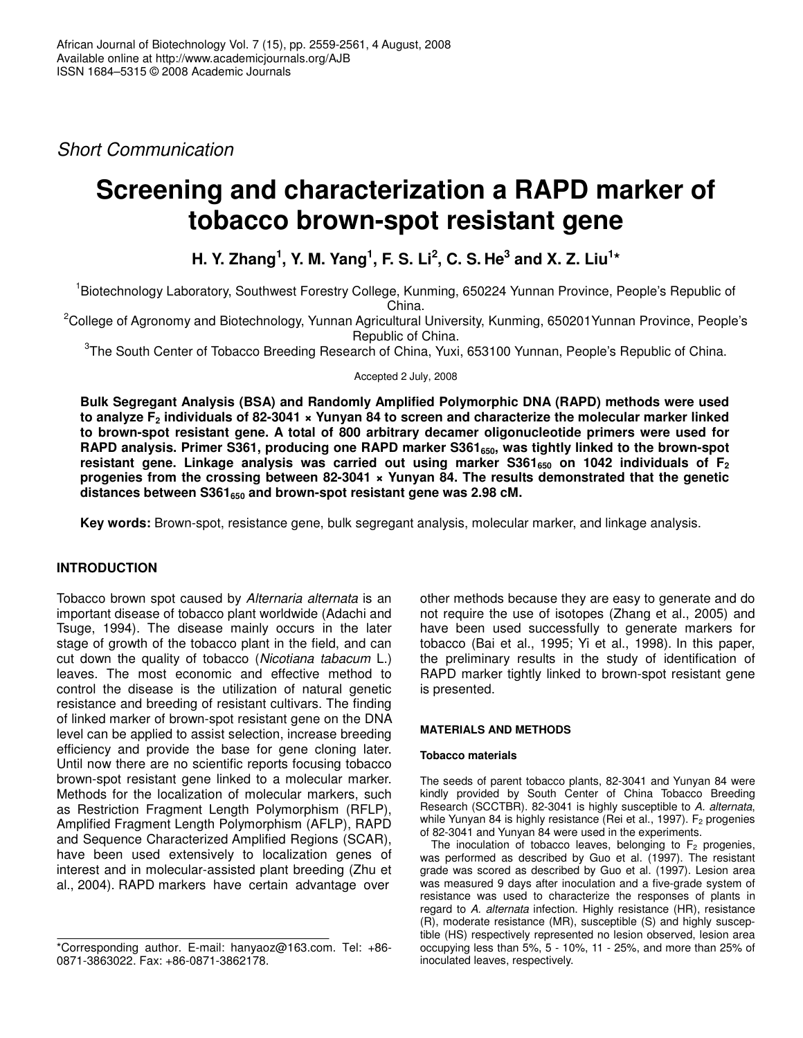*Short Communication*

# **Screening and characterization a RAPD marker of tobacco brown-spot resistant gene**

H. Y. Zhang<sup>1</sup>, Y. M. Yang<sup>1</sup>, F. S. Li<sup>2</sup>, C. S. He $^3$  and X. Z. Liu $^{\mathsf{1}\star}$ 

<sup>1</sup>Biotechnology Laboratory, Southwest Forestry College, Kunming, 650224 Yunnan Province, People's Republic of China.

<sup>2</sup>College of Agronomy and Biotechnology, Yunnan Agricultural University, Kunming, 650201Yunnan Province, People's Republic of China.

<sup>3</sup>The South Center of Tobacco Breeding Research of China, Yuxi, 653100 Yunnan, People's Republic of China.

Accepted 2 July, 2008

**Bulk Segregant Analysis (BSA) and Randomly Amplified Polymorphic DNA (RAPD) methods were used** to analyze  $F_2$  individuals of 82-3041  $\star$  Yunyan 84 to screen and characterize the molecular marker linked **to brown-spot resistant gene. A total of 800 arbitrary decamer oligonucleotide primers were used for RAPD analysis. Primer S361, producing one RAPD marker S361650, was tightly linked to the brown-spot resistant gene. Linkage analysis was carried out using marker S361<sup>650</sup> on 1042 individuals of F<sup>2</sup> progenies from the crossing between 82-3041 × Yunyan 84. The results demonstrated that the genetic distances between S361<sup>650</sup> and brown-spot resistant gene was 2.98 cM.**

**Key words:** Brown-spot, resistance gene, bulk segregant analysis, molecular marker, and linkage analysis.

# **INTRODUCTION**

Tobacco brown spot caused by *Alternaria alternata* is an important disease of tobacco plant worldwide (Adachi and Tsuge, 1994). The disease mainly occurs in the later stage of growth of the tobacco plant in the field, and can cut down the quality of tobacco (*Nicotiana tabacum* L.) leaves. The most economic and effective method to control the disease is the utilization of natural genetic resistance and breeding of resistant cultivars. The finding of linked marker of brown-spot resistant gene on the DNA level can be applied to assist selection, increase breeding efficiency and provide the base for gene cloning later. Until now there are no scientific reports focusing tobacco brown-spot resistant gene linked to a molecular marker. Methods for the localization of molecular markers, such as Restriction Fragment Length Polymorphism (RFLP), Amplified Fragment Length Polymorphism (AFLP), RAPD and Sequence Characterized Amplified Regions (SCAR), have been used extensively to localization genes of interest and in molecular-assisted plant breeding (Zhu et al., 2004). RAPD markers have certain advantage over

other methods because they are easy to generate and do not require the use of isotopes (Zhang et al., 2005) and have been used successfully to generate markers for tobacco (Bai et al., 1995; Yi et al., 1998). In this paper, the preliminary results in the study of identification of RAPD marker tightly linked to brown-spot resistant gene is presented.

## **MATERIALS AND METHODS**

## **Tobacco materials**

The seeds of parent tobacco plants, 82-3041 and Yunyan 84 were kindly provided by South Center of China Tobacco Breeding Research (SCCTBR). 82-3041 is highly susceptible to *A. alternata*, while Yunyan 84 is highly resistance (Rei et al., 1997).  $F_2$  progenies of 82-3041 and Yunyan 84 were used in the experiments.

The inoculation of tobacco leaves, belonging to  $F_2$  progenies, was performed as described by Guo et al. (1997). The resistant grade was scored as described by Guo et al. (1997). Lesion area was measured 9 days after inoculation and a five-grade system of resistance was used to characterize the responses of plants in regard to *A. alternata* infection. Highly resistance (HR), resistance (R), moderate resistance (MR), susceptible (S) and highly susceptible (HS) respectively represented no lesion observed, lesion area occupying less than 5%, 5 - 10%, 11 - 25%, and more than 25% of inoculated leaves, respectively.

<sup>\*</sup>Corresponding author. E-mail: hanyaoz@163.com. Tel: +86- 0871-3863022. Fax: +86-0871-3862178.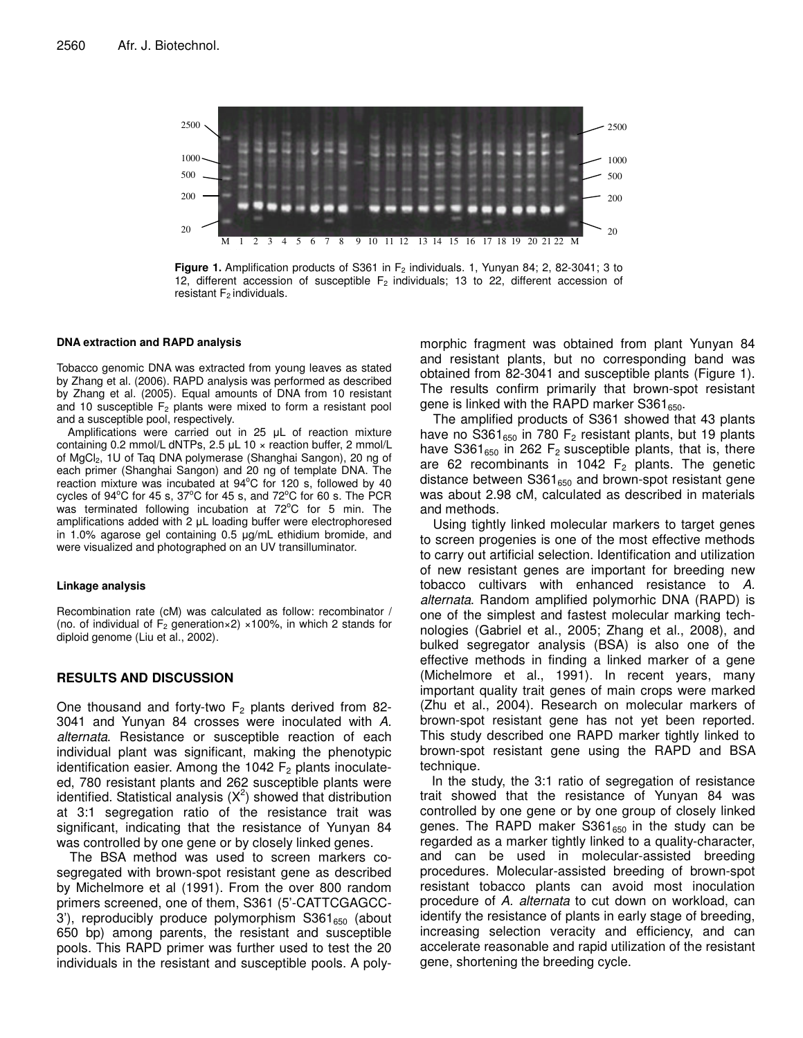

**Figure 1.** Amplification products of S361 in F<sub>2</sub> individuals. 1, Yunyan 84; 2, 82-3041; 3 to 12, different accession of susceptible  $F_2$  individuals; 13 to 22, different accession of resistant  $F_2$  individuals.

#### **DNA extraction and RAPD analysis**

Tobacco genomic DNA was extracted from young leaves as stated by Zhang et al. (2006). RAPD analysis was performed as described by Zhang et al. (2005). Equal amounts of DNA from 10 resistant and 10 susceptible  $F_2$  plants were mixed to form a resistant pool and a susceptible pool, respectively.

Amplifications were carried out in  $25$   $\mu$ L of reaction mixture containing 0.2 mmol/L dNTPs, 2.5  $\mu$ L 10  $\times$  reaction buffer, 2 mmol/L of MgCl2, 1U of Taq DNA polymerase (Shanghai Sangon), 20 ng of each primer (Shanghai Sangon) and 20 ng of template DNA. The reaction mixture was incubated at 94°C for 120 s, followed by 40 cycles of 94°C for 45 s, 37°C for 45 s, and 72°C for 60 s. The PCR was terminated following incubation at 72°C for 5 min. The amplifications added with  $2 \mu L$  loading buffer were electrophoresed in 1.0% agarose gel containing  $0.5$   $\mu$ g/mL ethidium bromide, and were visualized and photographed on an UV transilluminator.

#### **Linkage analysis**

Recombination rate (cM) was calculated as follow: recombinator / (no. of individual of  $F_2$  generation×2) ×100%, in which 2 stands for diploid genome (Liu et al., 2002).

# **RESULTS AND DISCUSSION**

One thousand and forty-two  $F_2$  plants derived from 82-3041 and Yunyan 84 crosses were inoculated with *A. alternata*. Resistance or susceptible reaction of each individual plant was significant, making the phenotypic identification easier. Among the 1042  $F<sub>2</sub>$  plants inoculateed, 780 resistant plants and 262 susceptible plants were identified. Statistical analysis  $(X^2)$  showed that distribution at 3:1 segregation ratio of the resistance trait was significant, indicating that the resistance of Yunyan 84 was controlled by one gene or by closely linked genes.

The BSA method was used to screen markers cosegregated with brown-spot resistant gene as described by Michelmore et al (1991). From the over 800 random primers screened, one of them, S361 (5'-CATTCGAGCC-3'), reproducibly produce polymorphism  $S361_{650}$  (about 650 bp) among parents, the resistant and susceptible pools. This RAPD primer was further used to test the 20 individuals in the resistant and susceptible pools. A polymorphic fragment was obtained from plant Yunyan 84 and resistant plants, but no corresponding band was obtained from 82-3041 and susceptible plants (Figure 1). The results confirm primarily that brown-spot resistant gene is linked with the RAPD marker S361 $_{650}$ .

The amplified products of S361 showed that 43 plants have no S361 $_{650}$  in 780 F<sub>2</sub> resistant plants, but 19 plants have S361 $_{650}$  in 262 F<sub>2</sub> susceptible plants, that is, there are 62 recombinants in 1042  $F_2$  plants. The genetic distance between  $S361_{650}$  and brown-spot resistant gene was about 2.98 cM, calculated as described in materials and methods.

Using tightly linked molecular markers to target genes to screen progenies is one of the most effective methods to carry out artificial selection. Identification and utilization of new resistant genes are important for breeding new tobacco cultivars with enhanced resistance to *A. alternata*. Random amplified polymorhic DNA (RAPD) is one of the simplest and fastest molecular marking technologies (Gabriel et al., 2005; Zhang et al., 2008), and bulked segregator analysis (BSA) is also one of the effective methods in finding a linked marker of a gene (Michelmore et al., 1991). In recent years, many important quality trait genes of main crops were marked (Zhu et al., 2004). Research on molecular markers of brown-spot resistant gene has not yet been reported. This study described one RAPD marker tightly linked to brown-spot resistant gene using the RAPD and BSA technique.

In the study, the 3:1 ratio of segregation of resistance trait showed that the resistance of Yunyan 84 was controlled by one gene or by one group of closely linked genes. The RAPD maker  $S361_{650}$  in the study can be regarded as a marker tightly linked to a quality-character, and can be used in molecular-assisted breeding procedures. Molecular-assisted breeding of brown-spot resistant tobacco plants can avoid most inoculation procedure of *A. alternata* to cut down on workload, can identify the resistance of plants in early stage of breeding, increasing selection veracity and efficiency, and can accelerate reasonable and rapid utilization of the resistant gene, shortening the breeding cycle.